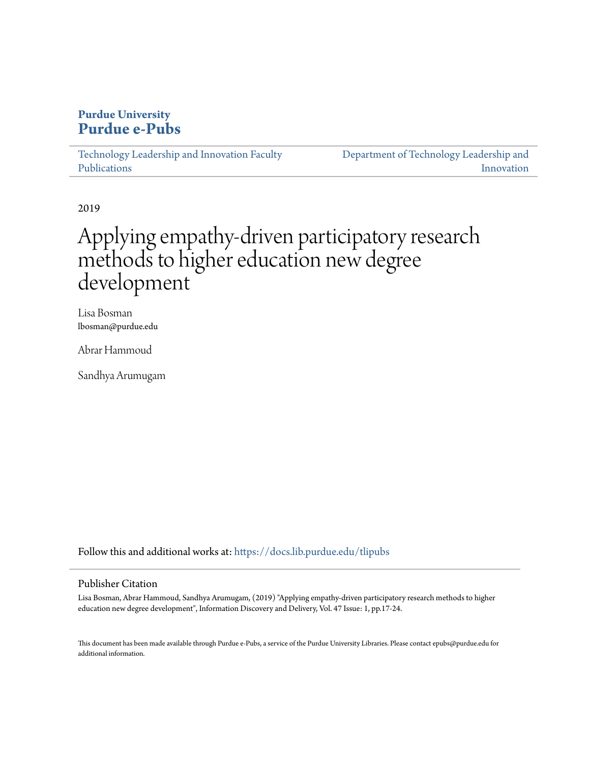## **Purdue University [Purdue e-Pubs](https://docs.lib.purdue.edu?utm_source=docs.lib.purdue.edu%2Ftlipubs%2F1&utm_medium=PDF&utm_campaign=PDFCoverPages)**

[Technology Leadership and Innovation Faculty](https://docs.lib.purdue.edu/tlipubs?utm_source=docs.lib.purdue.edu%2Ftlipubs%2F1&utm_medium=PDF&utm_campaign=PDFCoverPages) [Publications](https://docs.lib.purdue.edu/tlipubs?utm_source=docs.lib.purdue.edu%2Ftlipubs%2F1&utm_medium=PDF&utm_campaign=PDFCoverPages)

[Department of Technology Leadership and](https://docs.lib.purdue.edu/tli?utm_source=docs.lib.purdue.edu%2Ftlipubs%2F1&utm_medium=PDF&utm_campaign=PDFCoverPages) [Innovation](https://docs.lib.purdue.edu/tli?utm_source=docs.lib.purdue.edu%2Ftlipubs%2F1&utm_medium=PDF&utm_campaign=PDFCoverPages)

2019

# Applying empathy-driven participatory research methods to higher education new degree development

Lisa Bosman lbosman@purdue.edu

Abrar Hammoud

Sandhya Arumugam

Follow this and additional works at: [https://docs.lib.purdue.edu/tlipubs](https://docs.lib.purdue.edu/tlipubs?utm_source=docs.lib.purdue.edu%2Ftlipubs%2F1&utm_medium=PDF&utm_campaign=PDFCoverPages)

#### Publisher Citation

Lisa Bosman, Abrar Hammoud, Sandhya Arumugam, (2019) "Applying empathy-driven participatory research methods to higher education new degree development", Information Discovery and Delivery, Vol. 47 Issue: 1, pp.17-24.

This document has been made available through Purdue e-Pubs, a service of the Purdue University Libraries. Please contact epubs@purdue.edu for additional information.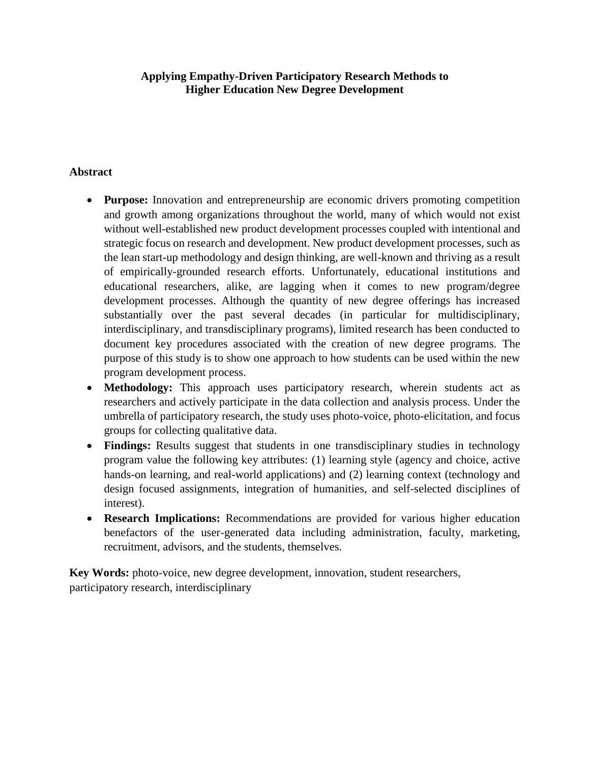#### **Applying Empathy-Driven Participatory Research Methods to Higher Education New Degree Development**

#### **Abstract**

- **Purpose:** Innovation and entrepreneurship are economic drivers promoting competition and growth among organizations throughout the world, many of which would not exist without well-established new product development processes coupled with intentional and strategic focus on research and development. New product development processes, such as the lean start-up methodology and design thinking, are well-known and thriving as a result of empirically-grounded research efforts. Unfortunately, educational institutions and educational researchers, alike, are lagging when it comes to new program/degree development processes. Although the quantity of new degree offerings has increased substantially over the past several decades (in particular for multidisciplinary, interdisciplinary, and transdisciplinary programs), limited research has been conducted to document key procedures associated with the creation of new degree programs. The purpose of this study is to show one approach to how students can be used within the new program development process.
- Methodology: This approach uses participatory research, wherein students act as researchers and actively participate in the data collection and analysis process. Under the umbrella of participatory research, the study uses photo-voice, photo-elicitation, and focus groups for collecting qualitative data.
- Findings: Results suggest that students in one transdisciplinary studies in technology program value the following key attributes: (1) learning style (agency and choice, active hands-on learning, and real-world applications) and (2) learning context (technology and design focused assignments, integration of humanities, and self-selected disciplines of interest).
- **Research Implications:** Recommendations are provided for various higher education benefactors of the user-generated data including administration, faculty, marketing, recruitment, advisors, and the students, themselves.

**Key Words:** photo-voice, new degree development, innovation, student researchers, participatory research, interdisciplinary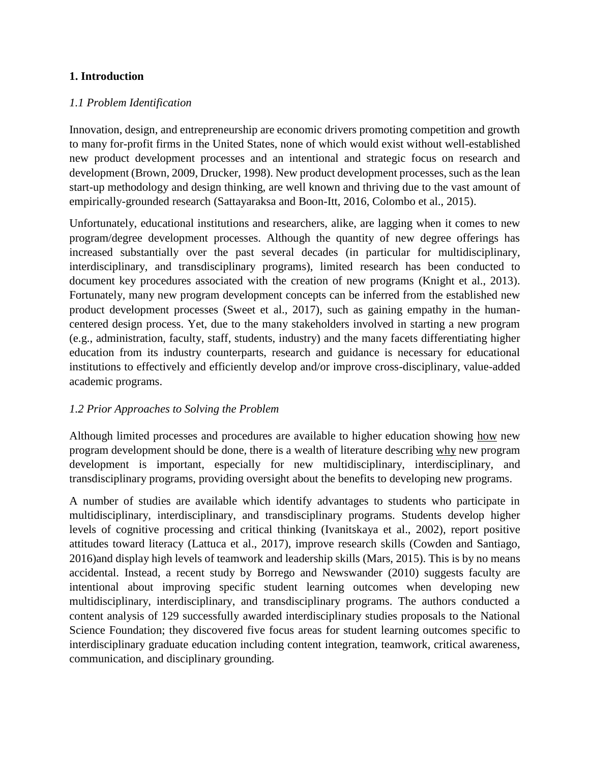#### **1. Introduction**

#### *1.1 Problem Identification*

Innovation, design, and entrepreneurship are economic drivers promoting competition and growth to many for-profit firms in the United States, none of which would exist without well-established new product development processes and an intentional and strategic focus on research and development (Brown, 2009, Drucker, 1998). New product development processes, such as the lean start-up methodology and design thinking, are well known and thriving due to the vast amount of empirically-grounded research (Sattayaraksa and Boon-Itt, 2016, Colombo et al., 2015).

Unfortunately, educational institutions and researchers, alike, are lagging when it comes to new program/degree development processes. Although the quantity of new degree offerings has increased substantially over the past several decades (in particular for multidisciplinary, interdisciplinary, and transdisciplinary programs), limited research has been conducted to document key procedures associated with the creation of new programs (Knight et al., 2013). Fortunately, many new program development concepts can be inferred from the established new product development processes (Sweet et al., 2017), such as gaining empathy in the humancentered design process. Yet, due to the many stakeholders involved in starting a new program (e.g., administration, faculty, staff, students, industry) and the many facets differentiating higher education from its industry counterparts, research and guidance is necessary for educational institutions to effectively and efficiently develop and/or improve cross-disciplinary, value-added academic programs.

#### *1.2 Prior Approaches to Solving the Problem*

Although limited processes and procedures are available to higher education showing how new program development should be done, there is a wealth of literature describing why new program development is important, especially for new multidisciplinary, interdisciplinary, and transdisciplinary programs, providing oversight about the benefits to developing new programs.

A number of studies are available which identify advantages to students who participate in multidisciplinary, interdisciplinary, and transdisciplinary programs. Students develop higher levels of cognitive processing and critical thinking (Ivanitskaya et al., 2002), report positive attitudes toward literacy (Lattuca et al., 2017), improve research skills (Cowden and Santiago, 2016)and display high levels of teamwork and leadership skills (Mars, 2015). This is by no means accidental. Instead, a recent study by Borrego and Newswander (2010) suggests faculty are intentional about improving specific student learning outcomes when developing new multidisciplinary, interdisciplinary, and transdisciplinary programs. The authors conducted a content analysis of 129 successfully awarded interdisciplinary studies proposals to the National Science Foundation; they discovered five focus areas for student learning outcomes specific to interdisciplinary graduate education including content integration, teamwork, critical awareness, communication, and disciplinary grounding.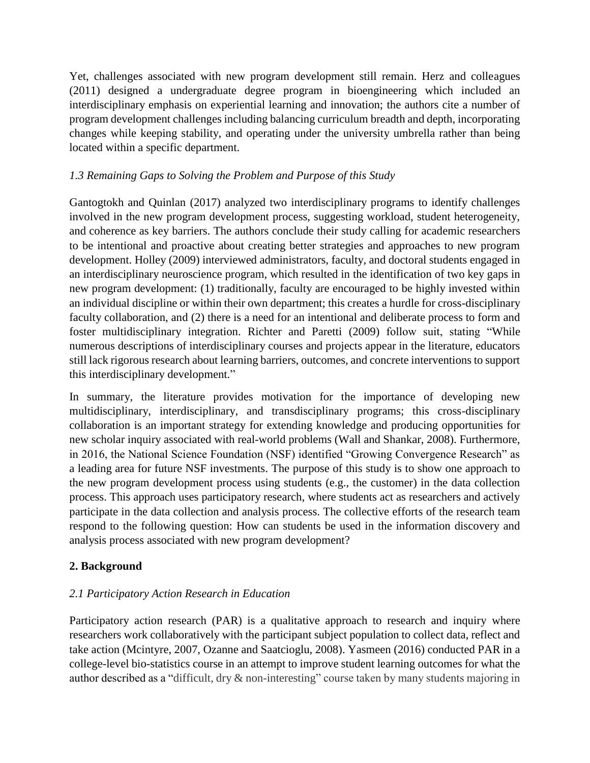Yet, challenges associated with new program development still remain. Herz and colleagues (2011) designed a undergraduate degree program in bioengineering which included an interdisciplinary emphasis on experiential learning and innovation; the authors cite a number of program development challenges including balancing curriculum breadth and depth, incorporating changes while keeping stability, and operating under the university umbrella rather than being located within a specific department.

## *1.3 Remaining Gaps to Solving the Problem and Purpose of this Study*

Gantogtokh and Quinlan (2017) analyzed two interdisciplinary programs to identify challenges involved in the new program development process, suggesting workload, student heterogeneity, and coherence as key barriers. The authors conclude their study calling for academic researchers to be intentional and proactive about creating better strategies and approaches to new program development. Holley (2009) interviewed administrators, faculty, and doctoral students engaged in an interdisciplinary neuroscience program, which resulted in the identification of two key gaps in new program development: (1) traditionally, faculty are encouraged to be highly invested within an individual discipline or within their own department; this creates a hurdle for cross-disciplinary faculty collaboration, and (2) there is a need for an intentional and deliberate process to form and foster multidisciplinary integration. Richter and Paretti (2009) follow suit, stating "While numerous descriptions of interdisciplinary courses and projects appear in the literature, educators still lack rigorous research about learning barriers, outcomes, and concrete interventions to support this interdisciplinary development."

In summary, the literature provides motivation for the importance of developing new multidisciplinary, interdisciplinary, and transdisciplinary programs; this cross-disciplinary collaboration is an important strategy for extending knowledge and producing opportunities for new scholar inquiry associated with real-world problems (Wall and Shankar, 2008). Furthermore, in 2016, the National Science Foundation (NSF) identified "Growing Convergence Research" as a leading area for future NSF investments. The purpose of this study is to show one approach to the new program development process using students (e.g., the customer) in the data collection process. This approach uses participatory research, where students act as researchers and actively participate in the data collection and analysis process. The collective efforts of the research team respond to the following question: How can students be used in the information discovery and analysis process associated with new program development?

#### **2. Background**

#### *2.1 Participatory Action Research in Education*

Participatory action research (PAR) is a qualitative approach to research and inquiry where researchers work collaboratively with the participant subject population to collect data, reflect and take action (Mcintyre, 2007, Ozanne and Saatcioglu, 2008). Yasmeen (2016) conducted PAR in a college-level bio-statistics course in an attempt to improve student learning outcomes for what the author described as a "difficult, dry & non-interesting" course taken by many students majoring in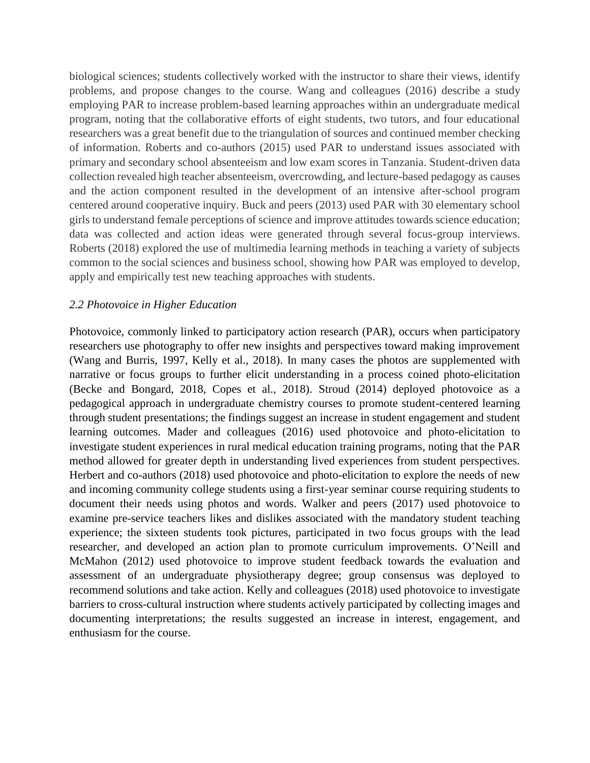biological sciences; students collectively worked with the instructor to share their views, identify problems, and propose changes to the course. Wang and colleagues (2016) describe a study employing PAR to increase problem-based learning approaches within an undergraduate medical program, noting that the collaborative efforts of eight students, two tutors, and four educational researchers was a great benefit due to the triangulation of sources and continued member checking of information. Roberts and co-authors (2015) used PAR to understand issues associated with primary and secondary school absenteeism and low exam scores in Tanzania. Student-driven data collection revealed high teacher absenteeism, overcrowding, and lecture-based pedagogy as causes and the action component resulted in the development of an intensive after-school program centered around cooperative inquiry. Buck and peers (2013) used PAR with 30 elementary school girls to understand female perceptions of science and improve attitudes towards science education; data was collected and action ideas were generated through several focus-group interviews. Roberts (2018) explored the use of multimedia learning methods in teaching a variety of subjects common to the social sciences and business school, showing how PAR was employed to develop, apply and empirically test new teaching approaches with students.

#### *2.2 Photovoice in Higher Education*

Photovoice, commonly linked to participatory action research (PAR), occurs when participatory researchers use photography to offer new insights and perspectives toward making improvement (Wang and Burris, 1997, Kelly et al., 2018). In many cases the photos are supplemented with narrative or focus groups to further elicit understanding in a process coined photo-elicitation (Becke and Bongard, 2018, Copes et al., 2018). Stroud (2014) deployed photovoice as a pedagogical approach in undergraduate chemistry courses to promote student-centered learning through student presentations; the findings suggest an increase in student engagement and student learning outcomes. Mader and colleagues (2016) used photovoice and photo-elicitation to investigate student experiences in rural medical education training programs, noting that the PAR method allowed for greater depth in understanding lived experiences from student perspectives. Herbert and co-authors (2018) used photovoice and photo-elicitation to explore the needs of new and incoming community college students using a first-year seminar course requiring students to document their needs using photos and words. Walker and peers (2017) used photovoice to examine pre-service teachers likes and dislikes associated with the mandatory student teaching experience; the sixteen students took pictures, participated in two focus groups with the lead researcher, and developed an action plan to promote curriculum improvements. O'Neill and McMahon (2012) used photovoice to improve student feedback towards the evaluation and assessment of an undergraduate physiotherapy degree; group consensus was deployed to recommend solutions and take action. Kelly and colleagues (2018) used photovoice to investigate barriers to cross-cultural instruction where students actively participated by collecting images and documenting interpretations; the results suggested an increase in interest, engagement, and enthusiasm for the course.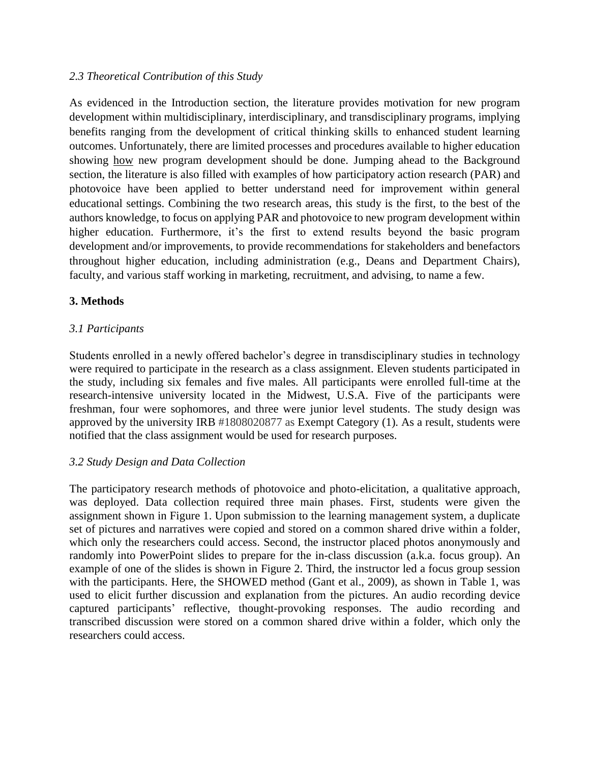#### *2.3 Theoretical Contribution of this Study*

As evidenced in the Introduction section, the literature provides motivation for new program development within multidisciplinary, interdisciplinary, and transdisciplinary programs, implying benefits ranging from the development of critical thinking skills to enhanced student learning outcomes. Unfortunately, there are limited processes and procedures available to higher education showing how new program development should be done. Jumping ahead to the Background section, the literature is also filled with examples of how participatory action research (PAR) and photovoice have been applied to better understand need for improvement within general educational settings. Combining the two research areas, this study is the first, to the best of the authors knowledge, to focus on applying PAR and photovoice to new program development within higher education. Furthermore, it's the first to extend results beyond the basic program development and/or improvements, to provide recommendations for stakeholders and benefactors throughout higher education, including administration (e.g., Deans and Department Chairs), faculty, and various staff working in marketing, recruitment, and advising, to name a few.

#### **3. Methods**

#### *3.1 Participants*

Students enrolled in a newly offered bachelor's degree in transdisciplinary studies in technology were required to participate in the research as a class assignment. Eleven students participated in the study, including six females and five males. All participants were enrolled full-time at the research-intensive university located in the Midwest, U.S.A. Five of the participants were freshman, four were sophomores, and three were junior level students. The study design was approved by the university IRB #1808020877 as Exempt Category (1). As a result, students were notified that the class assignment would be used for research purposes.

#### *3.2 Study Design and Data Collection*

The participatory research methods of photovoice and photo-elicitation, a qualitative approach, was deployed. Data collection required three main phases. First, students were given the assignment shown in [Figure 1.](#page-6-0) Upon submission to the learning management system, a duplicate set of pictures and narratives were copied and stored on a common shared drive within a folder, which only the researchers could access. Second, the instructor placed photos anonymously and randomly into PowerPoint slides to prepare for the in-class discussion (a.k.a. focus group). An example of one of the slides is shown in [Figure 2.](#page-6-1) Third, the instructor led a focus group session with the participants. Here, the SHOWED method (Gant et al., 2009), as shown in Table 1, was used to elicit further discussion and explanation from the pictures. An audio recording device captured participants' reflective, thought-provoking responses. The audio recording and transcribed discussion were stored on a common shared drive within a folder, which only the researchers could access.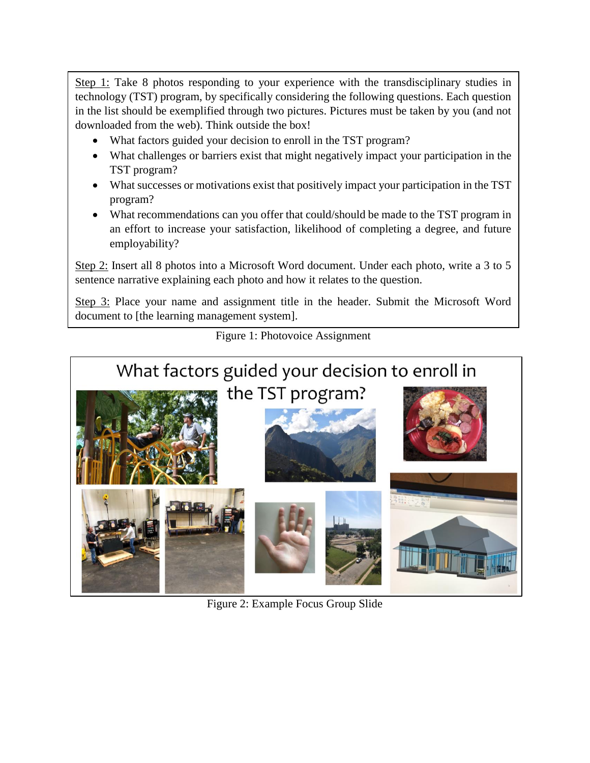Step 1: Take 8 photos responding to your experience with the transdisciplinary studies in technology (TST) program, by specifically considering the following questions. Each question in the list should be exemplified through two pictures. Pictures must be taken by you (and not downloaded from the web). Think outside the box!

- What factors guided your decision to enroll in the TST program?
- What challenges or barriers exist that might negatively impact your participation in the TST program?
- What successes or motivations exist that positively impact your participation in the TST program?
- What recommendations can you offer that could/should be made to the TST program in an effort to increase your satisfaction, likelihood of completing a degree, and future employability?

Step 2: Insert all 8 photos into a Microsoft Word document. Under each photo, write a 3 to 5 sentence narrative explaining each photo and how it relates to the question.

Step 3: Place your name and assignment title in the header. Submit the Microsoft Word document to [the learning management system].

Figure 1: Photovoice Assignment

<span id="page-6-1"></span><span id="page-6-0"></span>

Figure 2: Example Focus Group Slide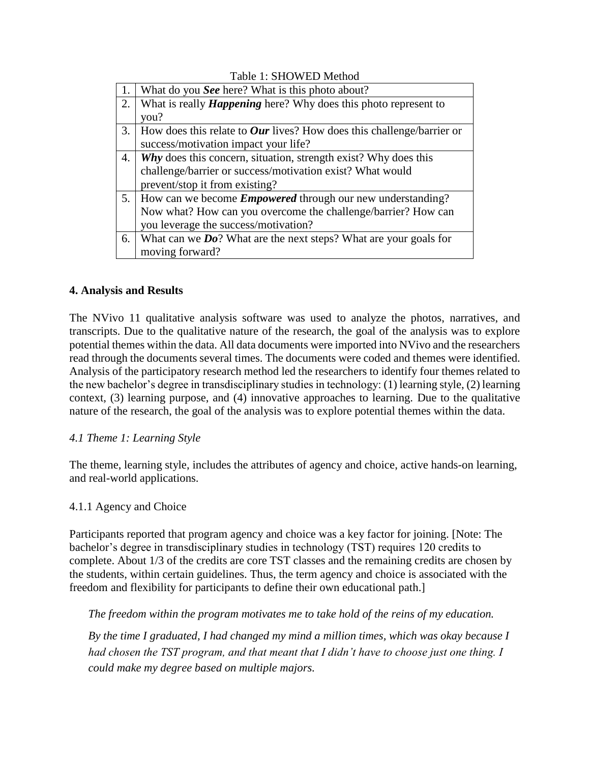| Table 1: SHOWED Method |                                                                        |
|------------------------|------------------------------------------------------------------------|
|                        | What do you See here? What is this photo about?                        |
| 2.                     | What is really <i>Happening</i> here? Why does this photo represent to |
|                        | you?                                                                   |
| 3.                     | How does this relate to Our lives? How does this challenge/barrier or  |
|                        | success/motivation impact your life?                                   |
| 4.                     | <b>Why</b> does this concern, situation, strength exist? Why does this |
|                        | challenge/barrier or success/motivation exist? What would              |
|                        | prevent/stop it from existing?                                         |
| 5.                     | How can we become <i>Empowered</i> through our new understanding?      |
|                        | Now what? How can you overcome the challenge/barrier? How can          |
|                        | you leverage the success/motivation?                                   |
| 6.                     | What can we $Do$ ? What are the next steps? What are your goals for    |
|                        | moving forward?                                                        |

## $T_{\text{t}}$  11:  $\frac{1}{2}$   $\frac{1}{2}$   $\frac{1}{2}$   $\frac{1}{2}$   $\frac{1}{2}$   $\frac{1}{2}$   $\frac{1}{2}$   $\frac{1}{2}$   $\frac{1}{2}$   $\frac{1}{2}$   $\frac{1}{2}$   $\frac{1}{2}$   $\frac{1}{2}$   $\frac{1}{2}$   $\frac{1}{2}$   $\frac{1}{2}$   $\frac{1}{2}$   $\frac{1}{2}$   $\frac{1}{2}$   $\frac{1}{2}$   $\frac{1}{2$

#### **4. Analysis and Results**

The NVivo 11 qualitative analysis software was used to analyze the photos, narratives, and transcripts. Due to the qualitative nature of the research, the goal of the analysis was to explore potential themes within the data. All data documents were imported into NVivo and the researchers read through the documents several times. The documents were coded and themes were identified. Analysis of the participatory research method led the researchers to identify four themes related to the new bachelor's degree in transdisciplinary studies in technology: (1) learning style, (2) learning context, (3) learning purpose, and (4) innovative approaches to learning. Due to the qualitative nature of the research, the goal of the analysis was to explore potential themes within the data.

#### *4.1 Theme 1: Learning Style*

The theme, learning style, includes the attributes of agency and choice, active hands-on learning, and real-world applications.

#### 4.1.1 Agency and Choice

Participants reported that program agency and choice was a key factor for joining. [Note: The bachelor's degree in transdisciplinary studies in technology (TST) requires 120 credits to complete. About 1/3 of the credits are core TST classes and the remaining credits are chosen by the students, within certain guidelines. Thus, the term agency and choice is associated with the freedom and flexibility for participants to define their own educational path.]

*The freedom within the program motivates me to take hold of the reins of my education.* 

*By the time I graduated, I had changed my mind a million times, which was okay because I had chosen the TST program, and that meant that I didn't have to choose just one thing. I could make my degree based on multiple majors.*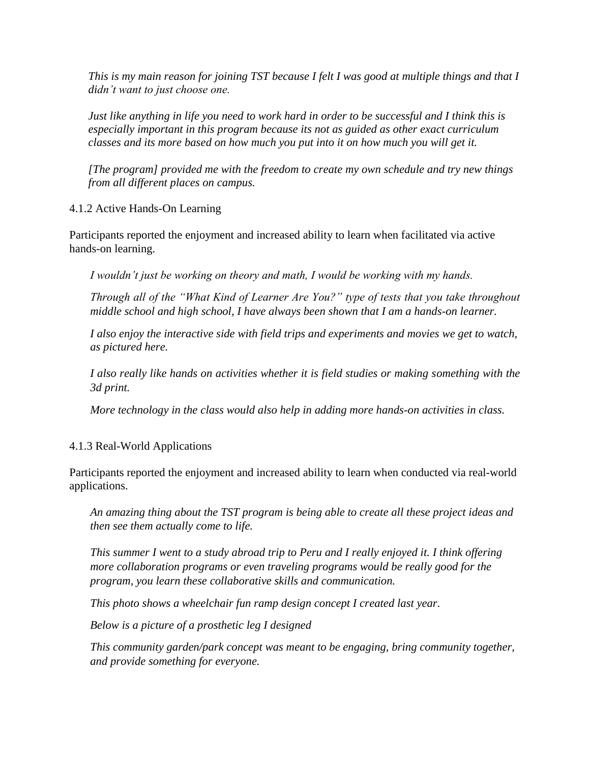*This is my main reason for joining TST because I felt I was good at multiple things and that I didn't want to just choose one.*

*Just like anything in life you need to work hard in order to be successful and I think this is especially important in this program because its not as guided as other exact curriculum classes and its more based on how much you put into it on how much you will get it.*

*[The program] provided me with the freedom to create my own schedule and try new things from all different places on campus.*

4.1.2 Active Hands-On Learning

Participants reported the enjoyment and increased ability to learn when facilitated via active hands-on learning.

*I wouldn't just be working on theory and math, I would be working with my hands.*

*Through all of the "What Kind of Learner Are You?" type of tests that you take throughout middle school and high school, I have always been shown that I am a hands-on learner.*

*I also enjoy the interactive side with field trips and experiments and movies we get to watch, as pictured here.*

*I also really like hands on activities whether it is field studies or making something with the 3d print.*

*More technology in the class would also help in adding more hands-on activities in class.* 

#### 4.1.3 Real-World Applications

Participants reported the enjoyment and increased ability to learn when conducted via real-world applications.

*An amazing thing about the TST program is being able to create all these project ideas and then see them actually come to life.*

*This summer I went to a study abroad trip to Peru and I really enjoyed it. I think offering more collaboration programs or even traveling programs would be really good for the program, you learn these collaborative skills and communication.*

*This photo shows a wheelchair fun ramp design concept I created last year.* 

*Below is a picture of a prosthetic leg I designed*

*This community garden/park concept was meant to be engaging, bring community together, and provide something for everyone.*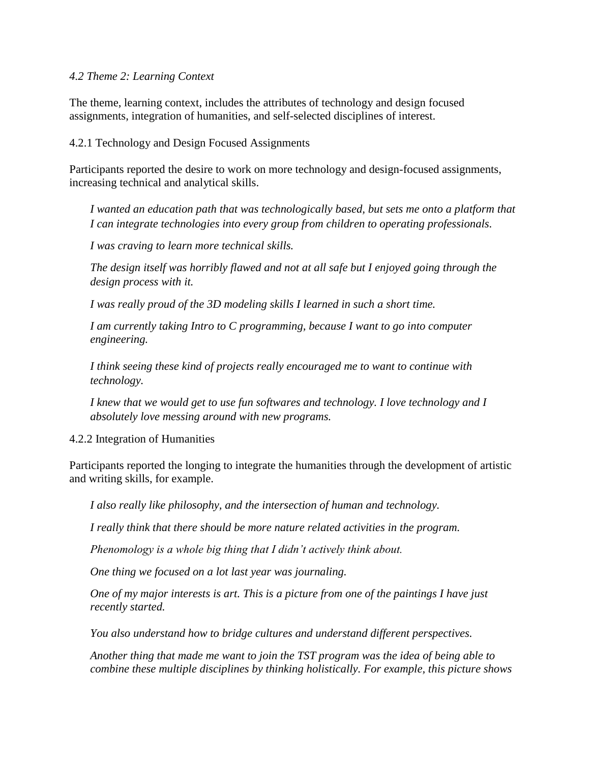#### *4.2 Theme 2: Learning Context*

The theme, learning context, includes the attributes of technology and design focused assignments, integration of humanities, and self-selected disciplines of interest.

4.2.1 Technology and Design Focused Assignments

Participants reported the desire to work on more technology and design-focused assignments, increasing technical and analytical skills.

*I wanted an education path that was technologically based, but sets me onto a platform that I can integrate technologies into every group from children to operating professionals.*

*I was craving to learn more technical skills.* 

*The design itself was horribly flawed and not at all safe but I enjoyed going through the design process with it.* 

*I was really proud of the 3D modeling skills I learned in such a short time.* 

*I am currently taking Intro to C programming, because I want to go into computer engineering.*

*I think seeing these kind of projects really encouraged me to want to continue with technology.* 

*I knew that we would get to use fun softwares and technology. I love technology and I absolutely love messing around with new programs.* 

#### 4.2.2 Integration of Humanities

Participants reported the longing to integrate the humanities through the development of artistic and writing skills, for example.

*I also really like philosophy, and the intersection of human and technology.*

*I really think that there should be more nature related activities in the program.* 

*Phenomology is a whole big thing that I didn't actively think about.* 

*One thing we focused on a lot last year was journaling.* 

*One of my major interests is art. This is a picture from one of the paintings I have just recently started.*

*You also understand how to bridge cultures and understand different perspectives.*

*Another thing that made me want to join the TST program was the idea of being able to combine these multiple disciplines by thinking holistically. For example, this picture shows*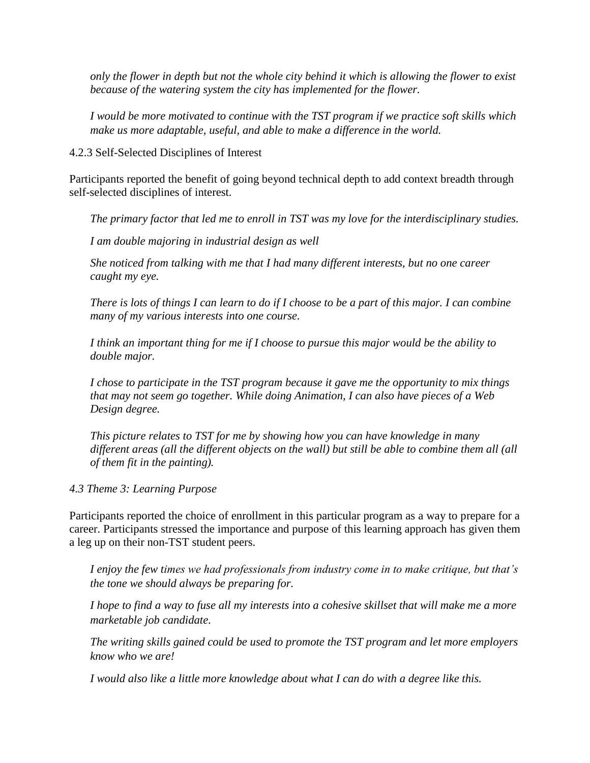*only the flower in depth but not the whole city behind it which is allowing the flower to exist because of the watering system the city has implemented for the flower.*

*I would be more motivated to continue with the TST program if we practice soft skills which make us more adaptable, useful, and able to make a difference in the world.* 

4.2.3 Self-Selected Disciplines of Interest

Participants reported the benefit of going beyond technical depth to add context breadth through self-selected disciplines of interest.

*The primary factor that led me to enroll in TST was my love for the interdisciplinary studies.*

*I am double majoring in industrial design as well*

*She noticed from talking with me that I had many different interests, but no one career caught my eye.*

*There is lots of things I can learn to do if I choose to be a part of this major. I can combine many of my various interests into one course.*

*I think an important thing for me if I choose to pursue this major would be the ability to double major.*

*I chose to participate in the TST program because it gave me the opportunity to mix things that may not seem go together. While doing Animation, I can also have pieces of a Web Design degree.*

*This picture relates to TST for me by showing how you can have knowledge in many different areas (all the different objects on the wall) but still be able to combine them all (all of them fit in the painting).*

#### *4.3 Theme 3: Learning Purpose*

Participants reported the choice of enrollment in this particular program as a way to prepare for a career. Participants stressed the importance and purpose of this learning approach has given them a leg up on their non-TST student peers.

*I enjoy the few times we had professionals from industry come in to make critique, but that's the tone we should always be preparing for.*

*I hope to find a way to fuse all my interests into a cohesive skillset that will make me a more marketable job candidate.* 

*The writing skills gained could be used to promote the TST program and let more employers know who we are!*

*I would also like a little more knowledge about what I can do with a degree like this.*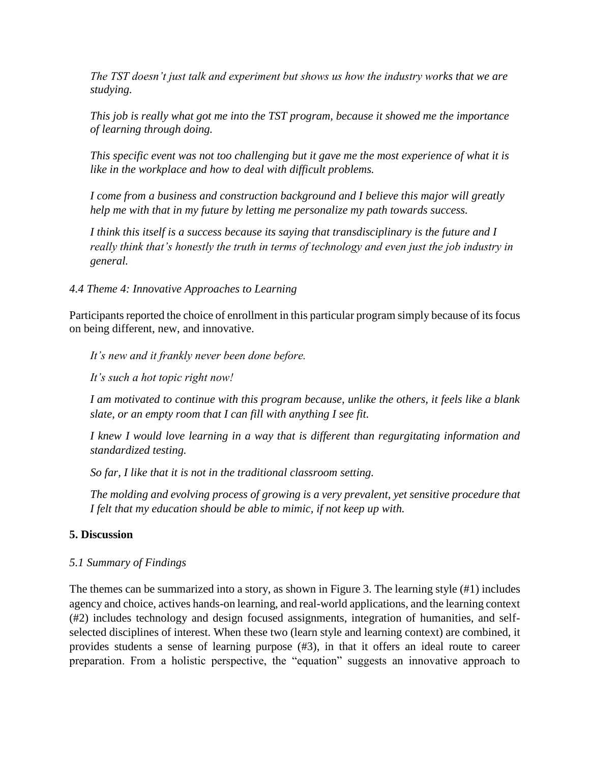*The TST doesn't just talk and experiment but shows us how the industry works that we are studying.*

*This job is really what got me into the TST program, because it showed me the importance of learning through doing.*

*This specific event was not too challenging but it gave me the most experience of what it is like in the workplace and how to deal with difficult problems.*

*I come from a business and construction background and I believe this major will greatly help me with that in my future by letting me personalize my path towards success.* 

*I think this itself is a success because its saying that transdisciplinary is the future and I really think that's honestly the truth in terms of technology and even just the job industry in general.*

#### *4.4 Theme 4: Innovative Approaches to Learning*

Participants reported the choice of enrollment in this particular program simply because of its focus on being different, new, and innovative.

*It's new and it frankly never been done before.* 

*It's such a hot topic right now!*

*I am motivated to continue with this program because, unlike the others, it feels like a blank slate, or an empty room that I can fill with anything I see fit.* 

*I knew I would love learning in a way that is different than regurgitating information and standardized testing.* 

*So far, I like that it is not in the traditional classroom setting.*

*The molding and evolving process of growing is a very prevalent, yet sensitive procedure that I felt that my education should be able to mimic, if not keep up with.*

#### **5. Discussion**

#### *5.1 Summary of Findings*

The themes can be summarized into a story, as shown in [Figure 3.](#page-12-0) The learning style (#1) includes agency and choice, actives hands-on learning, and real-world applications, and the learning context (#2) includes technology and design focused assignments, integration of humanities, and selfselected disciplines of interest. When these two (learn style and learning context) are combined, it provides students a sense of learning purpose (#3), in that it offers an ideal route to career preparation. From a holistic perspective, the "equation" suggests an innovative approach to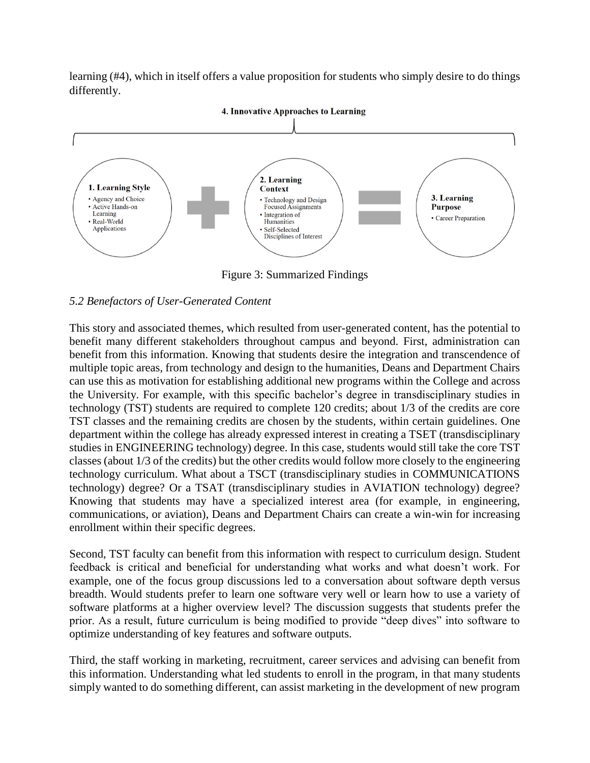learning (#4), which in itself offers a value proposition for students who simply desire to do things differently.



Figure 3: Summarized Findings

#### <span id="page-12-0"></span>*5.2 Benefactors of User-Generated Content*

This story and associated themes, which resulted from user-generated content, has the potential to benefit many different stakeholders throughout campus and beyond. First, administration can benefit from this information. Knowing that students desire the integration and transcendence of multiple topic areas, from technology and design to the humanities, Deans and Department Chairs can use this as motivation for establishing additional new programs within the College and across the University. For example, with this specific bachelor's degree in transdisciplinary studies in technology (TST) students are required to complete 120 credits; about 1/3 of the credits are core TST classes and the remaining credits are chosen by the students, within certain guidelines. One department within the college has already expressed interest in creating a TSET (transdisciplinary studies in ENGINEERING technology) degree. In this case, students would still take the core TST classes (about 1/3 of the credits) but the other credits would follow more closely to the engineering technology curriculum. What about a TSCT (transdisciplinary studies in COMMUNICATIONS technology) degree? Or a TSAT (transdisciplinary studies in AVIATION technology) degree? Knowing that students may have a specialized interest area (for example, in engineering, communications, or aviation), Deans and Department Chairs can create a win-win for increasing enrollment within their specific degrees.

Second, TST faculty can benefit from this information with respect to curriculum design. Student feedback is critical and beneficial for understanding what works and what doesn't work. For example, one of the focus group discussions led to a conversation about software depth versus breadth. Would students prefer to learn one software very well or learn how to use a variety of software platforms at a higher overview level? The discussion suggests that students prefer the prior. As a result, future curriculum is being modified to provide "deep dives" into software to optimize understanding of key features and software outputs.

Third, the staff working in marketing, recruitment, career services and advising can benefit from this information. Understanding what led students to enroll in the program, in that many students simply wanted to do something different, can assist marketing in the development of new program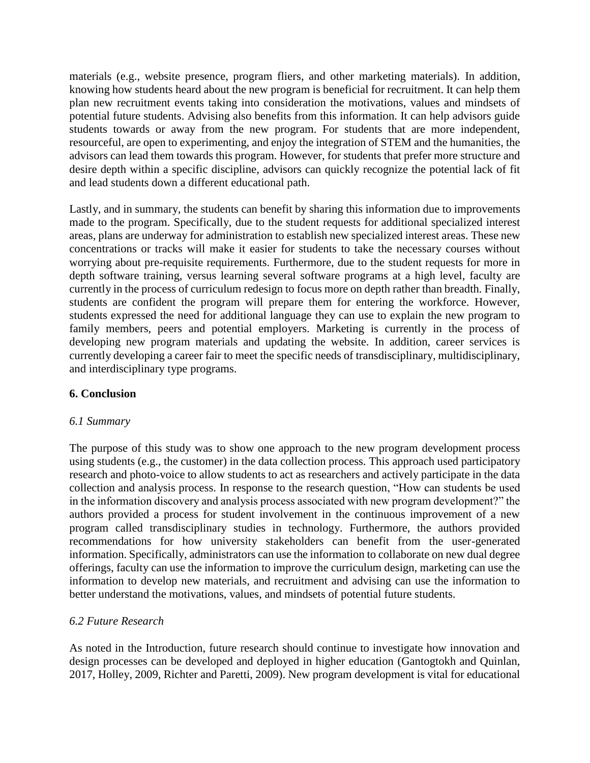materials (e.g., website presence, program fliers, and other marketing materials). In addition, knowing how students heard about the new program is beneficial for recruitment. It can help them plan new recruitment events taking into consideration the motivations, values and mindsets of potential future students. Advising also benefits from this information. It can help advisors guide students towards or away from the new program. For students that are more independent, resourceful, are open to experimenting, and enjoy the integration of STEM and the humanities, the advisors can lead them towards this program. However, for students that prefer more structure and desire depth within a specific discipline, advisors can quickly recognize the potential lack of fit and lead students down a different educational path.

Lastly, and in summary, the students can benefit by sharing this information due to improvements made to the program. Specifically, due to the student requests for additional specialized interest areas, plans are underway for administration to establish new specialized interest areas. These new concentrations or tracks will make it easier for students to take the necessary courses without worrying about pre-requisite requirements. Furthermore, due to the student requests for more in depth software training, versus learning several software programs at a high level, faculty are currently in the process of curriculum redesign to focus more on depth rather than breadth. Finally, students are confident the program will prepare them for entering the workforce. However, students expressed the need for additional language they can use to explain the new program to family members, peers and potential employers. Marketing is currently in the process of developing new program materials and updating the website. In addition, career services is currently developing a career fair to meet the specific needs of transdisciplinary, multidisciplinary, and interdisciplinary type programs.

#### **6. Conclusion**

#### *6.1 Summary*

The purpose of this study was to show one approach to the new program development process using students (e.g., the customer) in the data collection process. This approach used participatory research and photo-voice to allow students to act as researchers and actively participate in the data collection and analysis process. In response to the research question, "How can students be used in the information discovery and analysis process associated with new program development?" the authors provided a process for student involvement in the continuous improvement of a new program called transdisciplinary studies in technology. Furthermore, the authors provided recommendations for how university stakeholders can benefit from the user-generated information. Specifically, administrators can use the information to collaborate on new dual degree offerings, faculty can use the information to improve the curriculum design, marketing can use the information to develop new materials, and recruitment and advising can use the information to better understand the motivations, values, and mindsets of potential future students.

#### *6.2 Future Research*

As noted in the Introduction, future research should continue to investigate how innovation and design processes can be developed and deployed in higher education (Gantogtokh and Quinlan, 2017, Holley, 2009, Richter and Paretti, 2009). New program development is vital for educational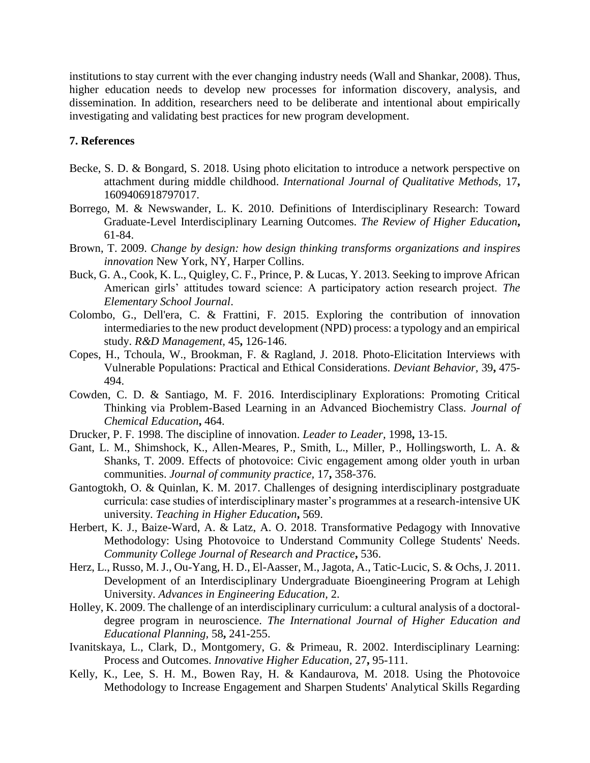institutions to stay current with the ever changing industry needs (Wall and Shankar, 2008). Thus, higher education needs to develop new processes for information discovery, analysis, and dissemination. In addition, researchers need to be deliberate and intentional about empirically investigating and validating best practices for new program development.

#### **7. References**

- Becke, S. D. & Bongard, S. 2018. Using photo elicitation to introduce a network perspective on attachment during middle childhood. *International Journal of Qualitative Methods,* 17**,** 1609406918797017.
- Borrego, M. & Newswander, L. K. 2010. Definitions of Interdisciplinary Research: Toward Graduate-Level Interdisciplinary Learning Outcomes. *The Review of Higher Education***,** 61-84.
- Brown, T. 2009. *Change by design: how design thinking transforms organizations and inspires innovation* New York, NY, Harper Collins.
- Buck, G. A., Cook, K. L., Quigley, C. F., Prince, P. & Lucas, Y. 2013. Seeking to improve African American girls' attitudes toward science: A participatory action research project. *The Elementary School Journal*.
- Colombo, G., Dell'era, C. & Frattini, F. 2015. Exploring the contribution of innovation intermediaries to the new product development (NPD) process: a typology and an empirical study. *R&D Management,* 45**,** 126-146.
- Copes, H., Tchoula, W., Brookman, F. & Ragland, J. 2018. Photo-Elicitation Interviews with Vulnerable Populations: Practical and Ethical Considerations. *Deviant Behavior,* 39**,** 475- 494.
- Cowden, C. D. & Santiago, M. F. 2016. Interdisciplinary Explorations: Promoting Critical Thinking via Problem-Based Learning in an Advanced Biochemistry Class. *Journal of Chemical Education***,** 464.
- Drucker, P. F. 1998. The discipline of innovation. *Leader to Leader,* 1998**,** 13-15.
- Gant, L. M., Shimshock, K., Allen-Meares, P., Smith, L., Miller, P., Hollingsworth, L. A. & Shanks, T. 2009. Effects of photovoice: Civic engagement among older youth in urban communities. *Journal of community practice,* 17**,** 358-376.
- Gantogtokh, O. & Quinlan, K. M. 2017. Challenges of designing interdisciplinary postgraduate curricula: case studies of interdisciplinary master's programmes at a research-intensive UK university. *Teaching in Higher Education***,** 569.
- Herbert, K. J., Baize-Ward, A. & Latz, A. O. 2018. Transformative Pedagogy with Innovative Methodology: Using Photovoice to Understand Community College Students' Needs. *Community College Journal of Research and Practice***,** 536.
- Herz, L., Russo, M. J., Ou-Yang, H. D., El-Aasser, M., Jagota, A., Tatic-Lucic, S. & Ochs, J. 2011. Development of an Interdisciplinary Undergraduate Bioengineering Program at Lehigh University. *Advances in Engineering Education,* 2.
- Holley, K. 2009. The challenge of an interdisciplinary curriculum: a cultural analysis of a doctoraldegree program in neuroscience. *The International Journal of Higher Education and Educational Planning,* 58**,** 241-255.
- Ivanitskaya, L., Clark, D., Montgomery, G. & Primeau, R. 2002. Interdisciplinary Learning: Process and Outcomes. *Innovative Higher Education,* 27**,** 95-111.
- Kelly, K., Lee, S. H. M., Bowen Ray, H. & Kandaurova, M. 2018. Using the Photovoice Methodology to Increase Engagement and Sharpen Students' Analytical Skills Regarding